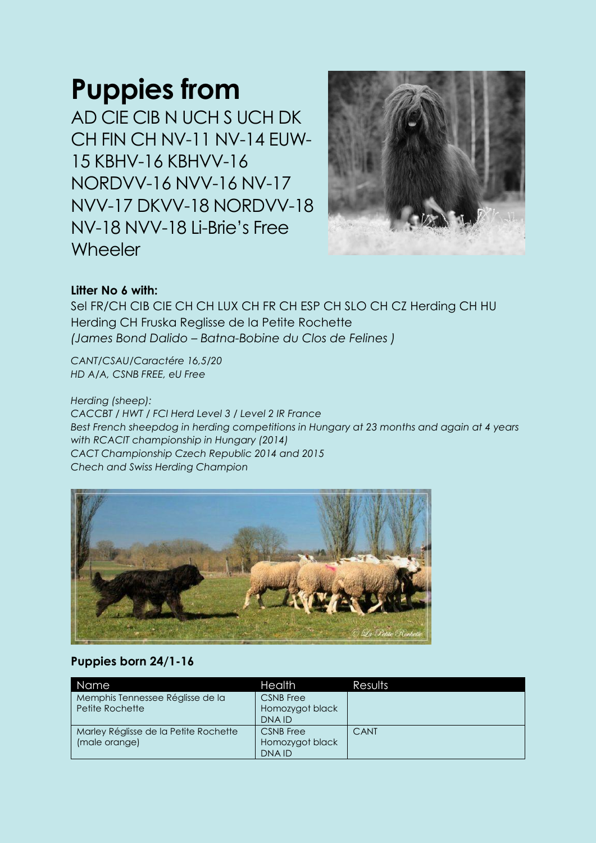## **Puppies from**

AD CIE CIB N UCH S UCH DK CH FIN CH NV-11 NV-14 EUW-15 KBHV-16 KBHVV-16 NORDVV-16 NVV-16 NV-17 NVV-17 DKVV-18 NORDVV-18 NV-18 NVV-18 Li-Brie's Free **Wheeler** 



## **Litter No 6 with:**

Sel FR/CH CIB CIE CH CH LUX CH FR CH ESP CH SLO CH CZ Herding CH HU Herding CH Fruska Reglisse de la Petite Rochette *(James Bond Dalido – Batna-Bobine du Clos de Felines )*

*CANT/CSAU/Caractére 16,5/20 HD A/A, CSNB FREE, eU Free*

*Herding (sheep): CACCBT / HWT / FCI Herd Level 3 / Level 2 IR France Best French sheepdog in herding competitions in Hungary at 23 months and again at 4 years with RCACIT championship in Hungary (2014) CACT Championship Czech Republic 2014 and 2015 Chech and Swiss Herding Champion*



## **Puppies born 24/1-16**

| Name                                                   | <b>Health</b>                                       | Results |
|--------------------------------------------------------|-----------------------------------------------------|---------|
| Memphis Tennessee Réglisse de la<br>Petite Rochette    | <b>CSNB</b> Free<br>Homozygot black<br>DNA ID       |         |
| Marley Réglisse de la Petite Rochette<br>(male orange) | <b>CSNB</b> Free<br>Homozygot black<br><b>DNAID</b> | CANT    |